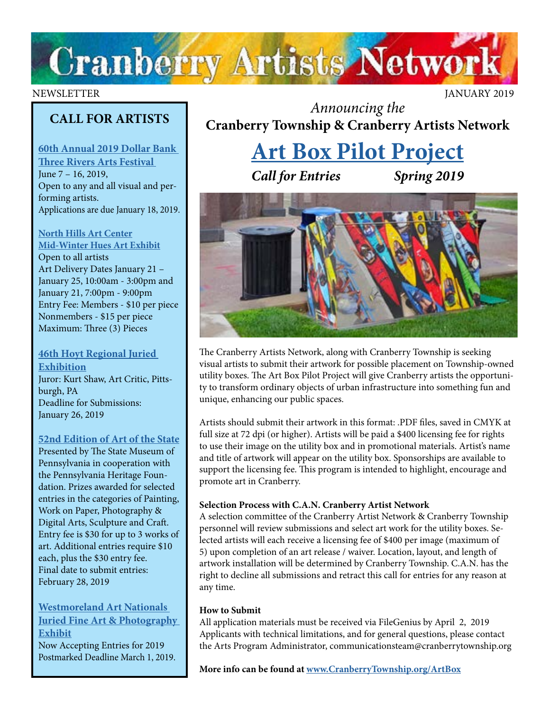

#### NEWSLETTER JANUARY 2019

## **CALL FOR ARTISTS**

**[60th Annual 2019 Dollar Bank](https://traf.trustarts.org/traf_home/artists/juried-visual-art-exhibition)  [Three Rivers Arts Festival](https://traf.trustarts.org/traf_home/artists/juried-visual-art-exhibition)**  June 7 – 16, 2019, Open to any and all visual and performing artists. Applications are due January 18, 2019.

#### **[North Hills Art Center](http://northhillsartcenter.com/Call%20For%20Entries%202019.pdf) [Mid-Winter Hues Art Exhibit](http://northhillsartcenter.com/Call%20For%20Entries%202019.pdf)**

Open to all artists Art Delivery Dates January 21 – January 25, 10:00am - 3:00pm and January 21, 7:00pm - 9:00pm Entry Fee: Members - \$10 per piece Nonmembers - \$15 per piece Maximum: Three (3) Pieces

#### **[46th Hoyt Regional Juried](http://www.hoytartcenter.org/callforartists)  [Exhibition](http://www.hoytartcenter.org/callforartists)** Juror: Kurt Shaw, Art Critic, Pittsburgh, PA Deadline for Submissions: January 26, 2019

#### **[52nd Edition of Art of the State](https://ethosting.s3.amazonaws.com/artofthestatepa/index.html)**

Presented by The State Museum of Pennsylvania in cooperation with the Pennsylvania Heritage Foundation. Prizes awarded for selected entries in the categories of Painting, Work on Paper, Photography & Digital Arts, Sculpture and Craft. Entry fee is \$30 for up to 3 works of art. Additional entries require \$10 each, plus the \$30 entry fee. Final date to submit entries: February 28, 2019

#### **[Westmoreland Art Nationals](https://artsandheritage.com/the-arts/art-nationals/)  [Juried Fine Art & Photography](https://artsandheritage.com/the-arts/art-nationals/)  [Exhibit](https://artsandheritage.com/the-arts/art-nationals/)**

[Now Accepting Entries for 2019](https://artsandheritage.com/the-arts/art-nationals/) Postmarked Deadline March 1, 2019.

*Announcing the* **Cranberry Township & Cranberry Artists Network** 

# **[Art Box Pilot Project](http://www.CranberryTownship.org/ArtBox)**

*Call for Entries Spring 2019*



The Cranberry Artists Network, along with Cranberry Township is seeking visual artists to submit their artwork for possible placement on Township-owned utility boxes. The Art Box Pilot Project will give Cranberry artists the opportunity to transform ordinary objects of urban infrastructure into something fun and unique, enhancing our public spaces.

Artists should submit their artwork in this format: .PDF files, saved in CMYK at full size at 72 dpi (or higher). Artists will be paid a \$400 licensing fee for rights to use their image on the utility box and in promotional materials. Artist's name and title of artwork will appear on the utility box. Sponsorships are available to support the licensing fee. This program is intended to highlight, encourage and promote art in Cranberry.

#### **Selection Process with C.A.N. Cranberry Artist Network**

A selection committee of the Cranberry Artist Network & Cranberry Township personnel will review submissions and select art work for the utility boxes. Selected artists will each receive a licensing fee of \$400 per image (maximum of 5) upon completion of an art release / waiver. Location, layout, and length of artwork installation will be determined by Cranberry Township. C.A.N. has the right to decline all submissions and retract this call for entries for any reason at any time.

#### **How to Submit**

All application materials must be received via FileGenius by April 2, 2019 Applicants with technical limitations, and for general questions, please contact the Arts Program Administrator, communicationsteam@cranberrytownship.org

**More info can be found at [www.CranberryTownship.org/ArtBox](http://www.CranberryTownship.org/ArtBox)**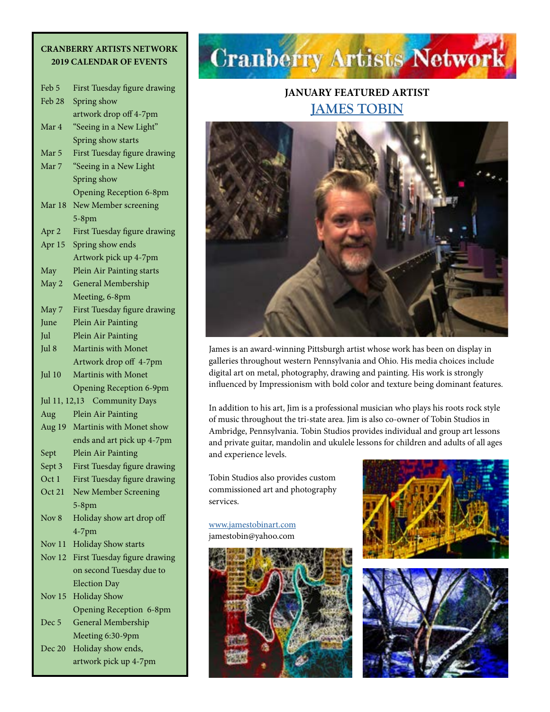#### **CRANBERRY ARTISTS NETWORK 2019 CALENDAR OF EVENTS**

| Feb 5                                  | First Tuesday figure drawing           |  |
|----------------------------------------|----------------------------------------|--|
| Feb 28                                 | Spring show                            |  |
|                                        | artwork drop off 4-7pm                 |  |
| Mar 4                                  | "Seeing in a New Light"                |  |
|                                        | Spring show starts                     |  |
| Mar 5                                  | First Tuesday figure drawing           |  |
| Mar 7                                  | "Seeing in a New Light                 |  |
|                                        | Spring show                            |  |
|                                        | <b>Opening Reception 6-8pm</b>         |  |
| Mar 18                                 | New Member screening                   |  |
|                                        | $5-8$ pm                               |  |
| Apr 2                                  | First Tuesday figure drawing           |  |
| Apr 15                                 | Spring show ends                       |  |
|                                        | Artwork pick up 4-7pm                  |  |
| May                                    | Plein Air Painting starts              |  |
| May 2                                  | <b>General Membership</b>              |  |
|                                        | Meeting, 6-8pm                         |  |
| May 7                                  | First Tuesday figure drawing           |  |
| June                                   | Plein Air Painting                     |  |
| Jul                                    | Plein Air Painting                     |  |
| Jul 8                                  | <b>Martinis with Monet</b>             |  |
|                                        | Artwork drop off 4-7pm                 |  |
| Jul 10                                 | Martinis with Monet                    |  |
|                                        | <b>Opening Reception 6-9pm</b>         |  |
| <b>Community Days</b><br>Jul 11, 12,13 |                                        |  |
| Aug                                    | Plein Air Painting                     |  |
| Aug 19                                 | Martinis with Monet show               |  |
|                                        | ends and art pick up 4-7pm             |  |
|                                        |                                        |  |
| Sept                                   | Plein Air Painting                     |  |
| Sept 3                                 | First Tuesday figure drawing           |  |
| Oct 1                                  | First Tuesday figure drawing           |  |
| Oct 21                                 | New Member Screening                   |  |
|                                        | $5-8$ pm                               |  |
| Nov 8                                  | Holiday show art drop off              |  |
|                                        | $4-7$ pm                               |  |
| Nov 11                                 | <b>Holiday Show starts</b>             |  |
| Nov 12                                 | First Tuesday figure drawing           |  |
|                                        | on second Tuesday due to               |  |
|                                        | <b>Election Day</b>                    |  |
| Nov 15                                 | <b>Holiday Show</b>                    |  |
|                                        | <b>Opening Reception 6-8pm</b>         |  |
| Dec 5                                  | General Membership                     |  |
| Dec 20                                 | Meeting 6:30-9pm<br>Holiday show ends, |  |

artwork pick up 4-7pm

# **Cranberry Artists Network**

### **JANUARY FEATURED ARTIST [JAMES TOBIN](http://www.jamestobinart.com)**



James is an award-winning Pittsburgh artist whose work has been on display in galleries throughout western Pennsylvania and Ohio. His media choices include digital art on metal, photography, drawing and painting. His work is strongly influenced by Impressionism with bold color and texture being dominant features.

In addition to his art, Jim is a professional musician who plays his roots rock style of music throughout the tri-state area. Jim is also co-owner of Tobin Studios in Ambridge, Pennsylvania. Tobin Studios provides individual and group art lessons and private guitar, mandolin and ukulele lessons for children and adults of all ages and experience levels.

Tobin Studios also provides custom commissioned art and photography services.

[www.jamestobinart.com](http://www.jamestobinart.com) jamestobin@yahoo.com





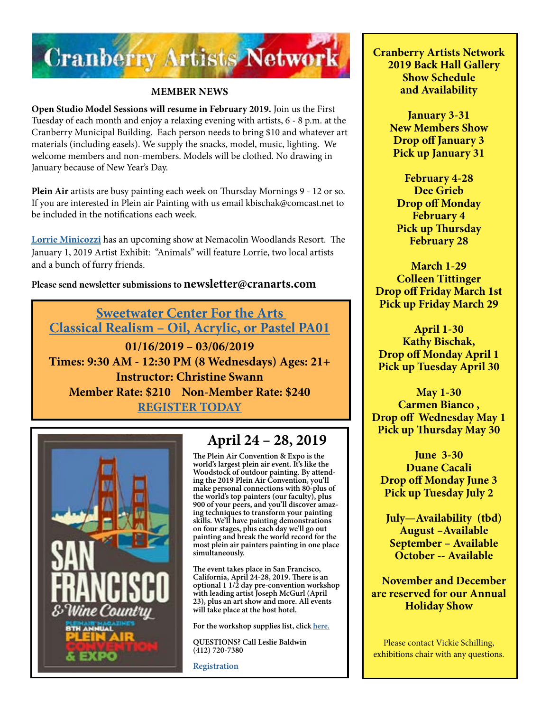

#### **MEMBER NEWS**

**Open Studio Model Sessions will resume in February 2019.** Join us the First Tuesday of each month and enjoy a relaxing evening with artists, 6 - 8 p.m. at the Cranberry Municipal Building. Each person needs to bring \$10 and whatever art materials (including easels). We supply the snacks, model, music, lighting. We welcome members and non-members. Models will be clothed. No drawing in January because of New Year's Day.

**Plein Air** artists are busy painting each week on Thursday Mornings 9 - 12 or so. If you are interested in Plein air Painting with us email kbischak@comcast.net to be included in the notifications each week.

**[Lorrie Minicozzi](http://www.climbingthewalls.net/index.htm)** has an upcoming show at Nemacolin Woodlands Resort. The January 1, 2019 Artist Exhibit: "Animals" will feature Lorrie, two local artists and a bunch of furry friends.

#### **Please send newsletter submissions to newsletter@cranarts.com**

**[Sweetwater Center For the Arts](http://sweetwaterartcenter.org/all-classes/classical-realism-pa01/)  [Classical Realism – Oil, Acrylic, or Pastel PA01](http://sweetwaterartcenter.org/all-classes/classical-realism-pa01/)**

**01/16/2019 – 03/06/2019 Times: 9:30 AM - 12:30 PM (8 Wednesdays) Ages: 21+ Instructor: Christine Swann Member Rate: \$210 Non-Member Rate: \$240 [REGISTER TODAY](http://sweetwaterartcenter.org/all-classes/classical-realism-pa01/)**



## **April 24 – 28, 2019**

**The Plein Air Convention & Expo is the world's largest plein air event. It's like the Woodstock of outdoor painting. By attending the 2019 Plein Air Convention, you'll make personal connections with 80-plus of the world's top painters (our faculty), plus 900 of your peers, and you'll discover amazing techniques to transform your painting skills. We'll have painting demonstrations on four stages, plus each day we'll go out painting and break the world record for the most plein air painters painting in one place simultaneously.**

**The event takes place in San Francisco, California, April 24-28, 2019. There is an optional 1 1/2 day pre-convention workshop with leading artist Joseph McGurl (April 23), plus an art show and more. All events will take place at the host hotel.**

**For the workshop supplies list, click [here.](https://www.pittsburghwatercolorsociety.com/resources/Documents/Workshops/PWS_2018_Carter%20Watercolor%20Materials%20List.pdf)** 

**QUESTIONS? Call Leslie Baldwin (412) 720-7380**

**[Registration](https://streamlinepublishing.com/s/2019-plein-air-convention-and-expo-2/)**

**Cranberry Artists Network 2019 Back Hall Gallery Show Schedule and Availability**

> **January 3-31 New Members Show Drop off January 3 Pick up January 31**

**February 4-28 Dee Grieb Drop off Monday February 4 Pick up Thursday February 28**

**March 1-29 Colleen Tittinger Drop off Friday March 1st Pick up Friday March 29**

**April 1-30 Kathy Bischak, Drop off Monday April 1 Pick up Tuesday April 30**

**May 1-30 Carmen Bianco , Drop off Wednesday May 1 Pick up Thursday May 30**

**June 3-30 Duane Cacali Drop off Monday June 3 Pick up Tuesday July 2**

 **July—Availability (tbd) August –Available September – Available October -- Available**

 **November and December are reserved for our Annual Holiday Show**

Please contact Vickie Schilling, exhibitions chair with any questions.